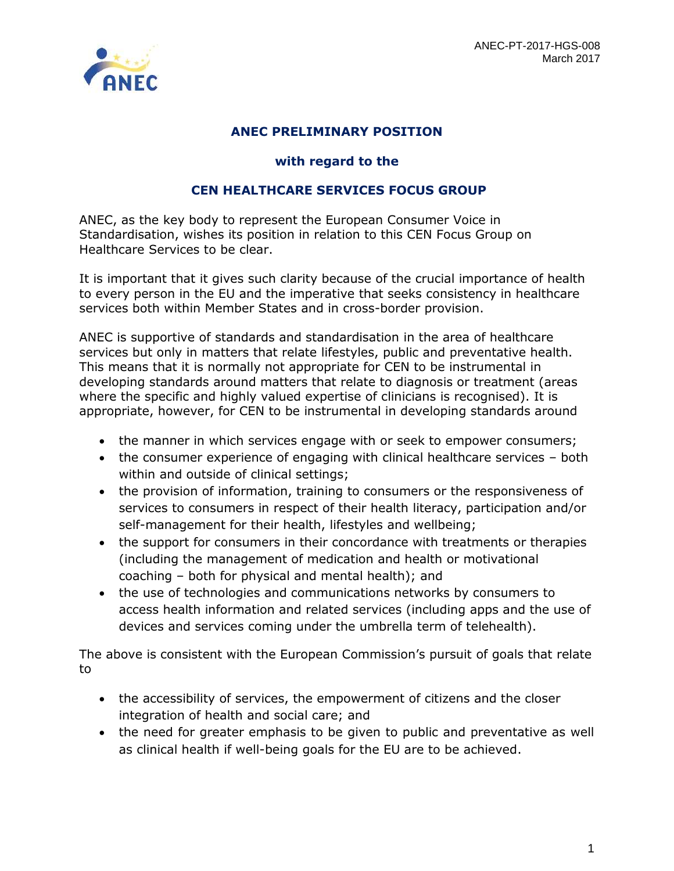

## **ANEC PRELIMINARY POSITION**

## **with regard to the**

## **CEN HEALTHCARE SERVICES FOCUS GROUP**

ANEC, as the key body to represent the European Consumer Voice in Standardisation, wishes its position in relation to this CEN Focus Group on Healthcare Services to be clear.

It is important that it gives such clarity because of the crucial importance of health to every person in the EU and the imperative that seeks consistency in healthcare services both within Member States and in cross-border provision.

ANEC is supportive of standards and standardisation in the area of healthcare services but only in matters that relate lifestyles, public and preventative health. This means that it is normally not appropriate for CEN to be instrumental in developing standards around matters that relate to diagnosis or treatment (areas where the specific and highly valued expertise of clinicians is recognised). It is appropriate, however, for CEN to be instrumental in developing standards around

- the manner in which services engage with or seek to empower consumers;
- the consumer experience of engaging with clinical healthcare services both within and outside of clinical settings;
- the provision of information, training to consumers or the responsiveness of services to consumers in respect of their health literacy, participation and/or self-management for their health, lifestyles and wellbeing;
- the support for consumers in their concordance with treatments or therapies (including the management of medication and health or motivational coaching – both for physical and mental health); and
- the use of technologies and communications networks by consumers to access health information and related services (including apps and the use of devices and services coming under the umbrella term of telehealth).

The above is consistent with the European Commission's pursuit of goals that relate to

- the accessibility of services, the empowerment of citizens and the closer integration of health and social care; and
- the need for greater emphasis to be given to public and preventative as well as clinical health if well-being goals for the EU are to be achieved.